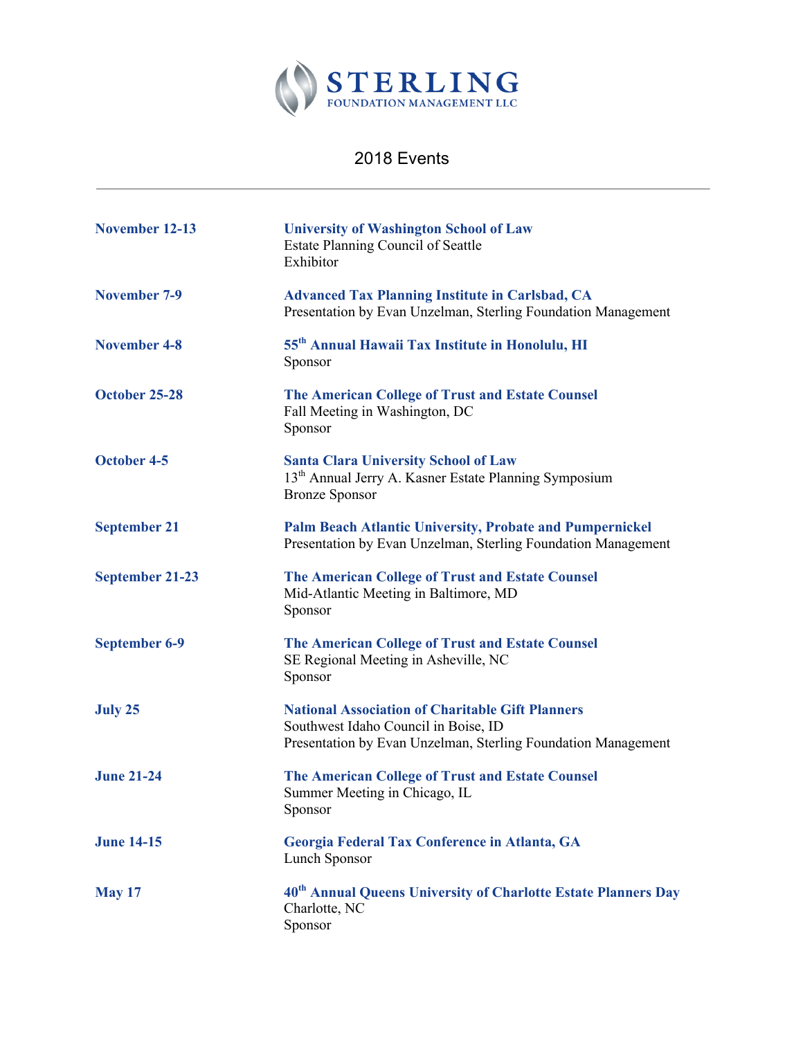

## 2018 Events

| November 12-13         | <b>University of Washington School of Law</b><br><b>Estate Planning Council of Seattle</b><br>Exhibitor                                                          |
|------------------------|------------------------------------------------------------------------------------------------------------------------------------------------------------------|
| <b>November 7-9</b>    | <b>Advanced Tax Planning Institute in Carlsbad, CA</b><br>Presentation by Evan Unzelman, Sterling Foundation Management                                          |
| <b>November 4-8</b>    | 55 <sup>th</sup> Annual Hawaii Tax Institute in Honolulu, HI<br>Sponsor                                                                                          |
| October 25-28          | <b>The American College of Trust and Estate Counsel</b><br>Fall Meeting in Washington, DC<br>Sponsor                                                             |
| <b>October 4-5</b>     | <b>Santa Clara University School of Law</b><br>13 <sup>th</sup> Annual Jerry A. Kasner Estate Planning Symposium<br><b>Bronze Sponsor</b>                        |
| <b>September 21</b>    | <b>Palm Beach Atlantic University, Probate and Pumpernickel</b><br>Presentation by Evan Unzelman, Sterling Foundation Management                                 |
| <b>September 21-23</b> | <b>The American College of Trust and Estate Counsel</b><br>Mid-Atlantic Meeting in Baltimore, MD<br>Sponsor                                                      |
| <b>September 6-9</b>   | <b>The American College of Trust and Estate Counsel</b><br>SE Regional Meeting in Asheville, NC<br>Sponsor                                                       |
| July 25                | <b>National Association of Charitable Gift Planners</b><br>Southwest Idaho Council in Boise, ID<br>Presentation by Evan Unzelman, Sterling Foundation Management |
| <b>June 21-24</b>      | <b>The American College of Trust and Estate Counsel</b><br>Summer Meeting in Chicago, IL<br>Sponsor                                                              |
| <b>June 14-15</b>      | Georgia Federal Tax Conference in Atlanta, GA<br>Lunch Sponsor                                                                                                   |
| <b>May 17</b>          | 40 <sup>th</sup> Annual Queens University of Charlotte Estate Planners Day<br>Charlotte, NC<br>Sponsor                                                           |